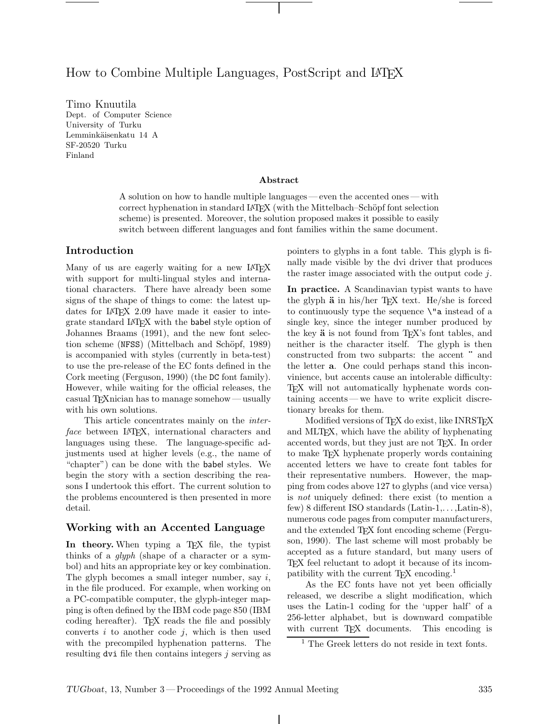# How to Combine Multiple Languages, PostScript and LAT<sub>EX</sub>

Timo Knuutila Dept. of Computer Science University of Turku Lemminkäisenkatu 14 A SF-20520 Turku Finland

#### **Abstract**

A solution on how to handle multiple languages— even the accented ones— with correct hyphenation in standard LATEX (with the Mittelbach–Schöpf font selection scheme) is presented. Moreover, the solution proposed makes it possible to easily switch between different languages and font families within the same document.

### **Introduction**

Many of us are eagerly waiting for a new LAT<sub>EX</sub> with support for multi-lingual styles and international characters. There have already been some signs of the shape of things to come: the latest updates for LATEX 2.09 have made it easier to integrate standard LATEX with the babel style option of Johannes Braams (1991), and the new font selection scheme (NFSS) (Mittelbach and Schöpf, 1989) is accompanied with styles (currently in beta-test) to use the pre-release of the EC fonts defined in the Cork meeting (Ferguson, 1990) (the DC font family). However, while waiting for the official releases, the casual TEXnician has to manage somehow— usually with his own solutions.

This article concentrates mainly on the *interface* between LAT<sub>E</sub>X, international characters and languages using these. The language-specific adjustments used at higher levels (e.g., the name of "chapter") can be done with the babel styles. We begin the story with a section describing the reasons I undertook this effort. The current solution to the problems encountered is then presented in more detail.

## **Working with an Accented Language**

In theory. When typing a T<sub>EX</sub> file, the typist thinks of a *glyph* (shape of a character or a symbol) and hits an appropriate key or key combination. The glyph becomes a small integer number, say *i*, in the file produced. For example, when working on a PC-compatible computer, the glyph-integer mapping is often defined by the IBM code page 850 (IBM coding hereafter). T<sub>E</sub>X reads the file and possibly converts  $i$  to another code  $j$ , which is then used with the precompiled hyphenation patterns. The resulting dvi file then contains integers *j* serving as pointers to glyphs in a font table. This glyph is finally made visible by the dvi driver that produces the raster image associated with the output code *j*.

**In practice.** A Scandinavian typist wants to have the glyph  $\ddot{a}$  in his/her T<sub>E</sub>X text. He/she is forced to continuously type the sequence  $\mathcal{N}^n$  instead of a single key, since the integer number produced by the key **ä** is not found from T<sub>EX</sub>'s font tables, and neither is the character itself. The glyph is then constructed from two subparts: the accent **¨** and the letter **a**. One could perhaps stand this inconvinience, but accents cause an intolerable difficulty: TEX will not automatically hyphenate words containing accents— we have to write explicit discretionary breaks for them.

Modified versions of TFX do exist, like INRSTFX and MLT<sub>EX</sub>, which have the ability of hyphenating accented words, but they just are not TEX. In order to make TEX hyphenate properly words containing accented letters we have to create font tables for their representative numbers. However, the mapping from codes above 127 to glyphs (and vice versa) is *not* uniquely defined: there exist (to mention a few) 8 different ISO standards (Latin-1,. . . ,Latin-8), numerous code pages from computer manufacturers, and the extended TFX font encoding scheme (Ferguson, 1990). The last scheme will most probably be accepted as a future standard, but many users of TEX feel reluctant to adopt it because of its incompatibility with the current  $T_{F}X$  encoding.<sup>1</sup>

As the EC fonts have not yet been officially released, we describe a slight modification, which uses the Latin-1 coding for the 'upper half' of a 256-letter alphabet, but is downward compatible with current TEX documents. This encoding is

 $\mathbf{I}$ 

<sup>1</sup> The Greek letters do not reside in text fonts.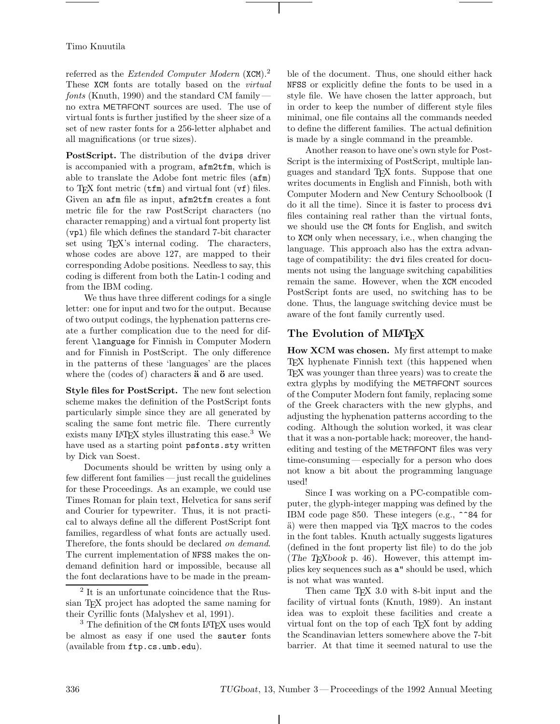#### Timo Knuutila

referred as the *Extended Computer Modern* (XCM).<sup>2</sup> These XCM fonts are totally based on the *virtual fonts* (Knuth, 1990) and the standard CM family no extra METAFONT sources are used. The use of virtual fonts is further justified by the sheer size of a set of new raster fonts for a 256-letter alphabet and all magnifications (or true sizes).

PostScript. The distribution of the dvips driver is accompanied with a program, afm2tfm, which is able to translate the Adobe font metric files (afm) to T<sub>F</sub>X font metric  $(\text{tfm})$  and virtual font  $(\text{vf})$  files. Given an afm file as input, afm2tfm creates a font metric file for the raw PostScript characters (no character remapping) and a virtual font property list (vpl) file which defines the standard 7-bit character set using T<sub>EX</sub>'s internal coding. The characters, whose codes are above 127, are mapped to their corresponding Adobe positions. Needless to say, this coding is different from both the Latin-1 coding and from the IBM coding.

We thus have three different codings for a single letter: one for input and two for the output. Because oftwo output codings, the hyphenation patterns create a further complication due to the need for different \language for Finnish in Computer Modern and for Finnish in PostScript. The only difference in the patterns of these 'languages' are the places where the (codes of) characters **ä** and **ö** are used.

**Style files for PostScript.** The new font selection scheme makes the definition of the PostScript fonts particularly simple since they are all generated by scaling the same font metric file. There currently exists many LAT<sub>EX</sub> styles illustrating this ease.<sup>3</sup> We have used as a starting point psfonts.sty written by Dick van Soest.

Documents should be written by using only a few different font families — just recall the guidelines for these Proceedings. As an example, we could use Times Roman for plain text, Helvetica for sans serif and Courier for typewriter. Thus, it is not practical to always define all the different PostScript font families, regardless of what fonts are actually used. Therefore, the fonts should be declared *on demand*. The current implementation of NFSS makes the ondemand definition hard or impossible, because all the font declarations have to be made in the preamble of the document. Thus, one should either hack NFSS or explicitly define the fonts to be used in a style file. We have chosen the latter approach, but in order to keep the number of different style files minimal, one file contains all the commands needed to define the different families. The actual definition is made by a single command in the preamble.

Another reason to have one's own style for Post-Script is the intermixing of PostScript, multiple languages and standard TEX fonts. Suppose that one writes documents in English and Finnish, both with Computer Modern and New Century Schoolbook (I do it all the time). Since it is faster to process dvi files containing real rather than the virtual fonts, we should use the CM fonts for English, and switch to XCM only when necessary, i.e., when changing the language. This approach also has the extra advantage of compatibility: the dvi files created for documents not using the language switching capabilities remain the same. However, when the XCM encoded PostScript fonts are used, no switching has to be done. Thus, the language switching device must be aware of the font family currently used.

## **The Evolution of MLATEX**

**How XCM was chosen.** My first attempt to make TEX hyphenate Finnish text (this happened when TEX was younger than three years) was to create the extra glyphs by modifying the METAFONT sources of the Computer Modern font family, replacing some of the Greek characters with the new glyphs, and adjusting the hyphenation patterns according to the coding. Although the solution worked, it was clear that it was a non-portable hack; moreover, the handediting and testing of the METAFONT files was very time-consuming — especially for a person who does not know a bit about the programming language used!

Since I was working on a PC-compatible computer, the glyph-integer mapping was defined by the IBM code page 850. These integers (e.g., ^^84 for ¨a) were then mapped via TEX macros to the codes in the font tables. Knuth actually suggests ligatures (defined in the font property list file) to do the job (*The TEXbook* p. 46). However, this attempt implies key sequences such as a" should be used, which is not what was wanted.

Then came T<sub>EX</sub> 3.0 with 8-bit input and the facility of virtual fonts (Knuth, 1989). An instant idea was to exploit these facilities and create a virtual font on the top of each TEX font by adding the Scandinavian letters somewhere above the 7-bit barrier. At that time it seemed natural to use the

<sup>2</sup> It is an unfortunate coincidence that the Russian T<sub>F</sub>X project has adopted the same naming for their Cyrillic fonts (Malyshev et al, 1991).

 $3$  The definition of the CM fonts LAT<sub>EX</sub> uses would be almost as easy if one used the sauter fonts (available from ftp.cs.umb.edu).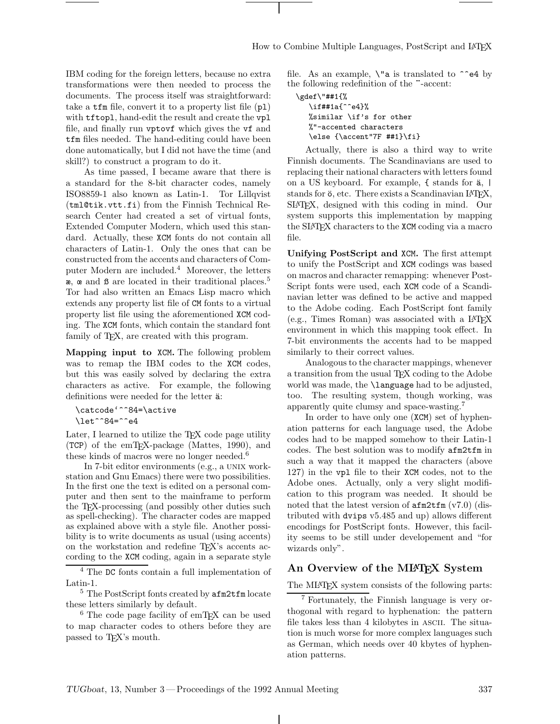IBM coding for the foreign letters, because no extra transformations were then needed to process the documents. The process itself was straightforward: take a tfm file, convert it to a property list file (pl) with tftopl, hand-edit the result and create the vpl file, and finally run vptovf which gives the vf and tfm files needed. The hand-editing could have been done automatically, but I did not have the time (and skill?) to construct a program to do it.

As time passed, I became aware that there is a standard for the 8-bit character codes, namely ISO8859-1 also known as Latin-1. Tor Lillqvist (tml@tik.vtt.fi) from the Finnish Technical Research Center had created a set of virtual fonts, Extended Computer Modern, which used this standard. Actually, these XCM fonts do not contain all characters of Latin-1. Only the ones that can be constructed from the accents and characters of Computer Modern are included.<sup>4</sup> Moreover, the letters æ, œ and ß are located in their traditional places.<sup>5</sup> Tor had also written an Emacs Lisp macro which extends any property list file of CM fonts to a virtual property list file using the aforementioned XCM coding. The XCM fonts, which contain the standard font family of TEX, are created with this program.

**Mapping input to** XCM**.** The following problem was to remap the IBM codes to the XCM codes, but this was easily solved by declaring the extra characters as active. For example, the following definitions were needed for the letter  $a$ :

```
\catcode'^^84=\active
\let^^84=^^e4
```
Later, I learned to utilize the T<sub>EX</sub> code page utility (TCP) of the emTEX-package (Mattes, 1990), and these kinds of macros were no longer needed. $6$ 

In 7-bit editor environments (e.g., a unix workstation and Gnu Emacs) there were two possibilities. In the first one the text is edited on a personal computer and then sent to the mainframe to perform the TEX-processing (and possibly other duties such as spell-checking). The character codes are mapped as explained above with a style file. Another possibility is to write documents as usual (using accents) on the workstation and redefine T<sub>EX</sub>'s accents according to the XCM coding, again in a separate style

 $^4$  The  $\mathtt{DC}$  fonts contain a full implementation of Latin-1.

<sup>5</sup> The PostScript fonts created by afm2tfm locate these letters similarly by default.

<sup>6</sup> The code page facility of emTFX can be used to map character codes to others before they are passed to TEX's mouth.

file. As an example,  $\iota$  a is translated to  $\hat{\ }$ e4 by the following redefinition of the **¨**-accent:

```
\gdef\"##1{%
  \if##1a{^^e4}%
  %similar \if's for other
  %"-accented characters
  \else {\accent"7F ##1}\fi}
```
Actually, there is also a third way to write Finnish documents. The Scandinavians are used to replacing their national characters with letters found on a US keyboard. For example,  $\{\text{ stands for } a, \}$ stands for  $\ddot{\circ}$ , etc. There exists a Scandinavian LAT<sub>E</sub>X, SLATEX, designed with this coding in mind. Our system supports this implementation by mapping the SLATEX characters to the XCM coding via a macro file.

**Unifying PostScript and** XCM**.** The first attempt to unify the PostScript and XCM codings was based on macros and character remapping: whenever Post-Script fonts were used, each XCM code of a Scandinavian letter was defined to be active and mapped to the Adobe coding. Each PostScript font family (e.g., Times Roman) was associated with a LATEX environment in which this mapping took effect. In 7-bit environments the accents had to be mapped similarly to their correct values.

Analogous to the character mappings, whenever a transition from the usual TEX coding to the Adobe world was made, the \language had to be adjusted, too. The resulting system, though working, was apparently quite clumsy and space-wasting.<sup>7</sup>

In order to have only one (XCM) set of hyphenation patterns for each language used, the Adobe codes had to be mapped somehow to their Latin-1 codes. The best solution was to modify afm2tfm in such a way that it mapped the characters (above 127) in the vpl file to their XCM codes, not to the Adobe ones. Actually, only a very slight modification to this program was needed. It should be noted that the latest version of afm2tfm (v7.0) (distributed with dvips v5.485 and up) allows different encodings for PostScript fonts. However, this facility seems to be still under developement and "for wizards only".

## **An Overview of the MLATEX System**

The MIAT<sub>F</sub>X system consists of the following parts:

<sup>7</sup> Fortunately, the Finnish language is very orthogonal with regard to hyphenation: the pattern file takes less than 4 kilobytes in ASCII. The situation is much worse for more complex languages such as German, which needs over 40 kbytes of hyphenation patterns.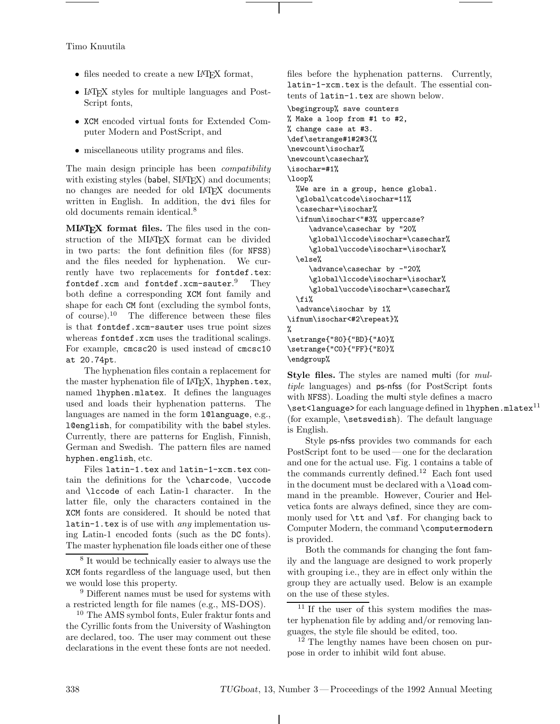Timo Knuutila

- files needed to create a new LAT<sub>EX</sub> format,
- LAT<sub>EX</sub> styles for multiple languages and Post-Script fonts,
- *•* XCM encoded virtual fonts for Extended Computer Modern and PostScript, and
- *•* miscellaneous utility programs and files.

The main design principle has been *compatibility* with existing styles (babel, SIAT<sub>FX</sub>) and documents; no changes are needed for old LAT<sub>EX</sub> documents written in English. In addition, the dvi files for old documents remain identical.<sup>8</sup>

**MLATEX format files.** The files used in the construction of the MIATEX format can be divided in two parts: the font definition files (for NFSS) and the files needed for hyphenation. We currently have two replacements for fontdef.tex: fontdef.xcm and fontdef.xcm-sauter. $^9$  They both define a corresponding XCM font family and shape for each CM font (excluding the symbol fonts, of course).<sup>10</sup> The difference between these files is that fontdef.xcm-sauter uses true point sizes whereas fontdef.xcm uses the traditional scalings. For example, cmcsc20 is used instead of cmcsc10 at 20.74pt.

The hyphenation files contain a replacement for the master hyphenation file of LAT<sub>E</sub>X, lhyphen.tex, named lhyphen.mlatex. It defines the languages used and loads their hyphenation patterns. The languages are named in the form 101 anguage, e.g., l@english, for compatibility with the babel styles. Currently, there are patterns for English, Finnish, German and Swedish. The pattern files are named hyphen.english, etc.

Files latin-1.tex and latin-1-xcm.tex contain the definitions for the \charcode, \uccode and **\lccode** of each Latin-1 character. In the latter file, only the characters contained in the XCM fonts are considered. It should be noted that latin-1.tex is of use with *any* implementation using Latin-1 encoded fonts (such as the DC fonts). The master hyphenation file loads either one of these

 $9$  Different names must be used for systems with a restricted length for file names (e.g., MS-DOS).

<sup>10</sup> The AMS symbol fonts, Euler fraktur fonts and the Cyrillic fonts from the University of Washington are declared, too. The user may comment out these declarations in the event these fonts are not needed.

files before the hyphenation patterns. Currently, latin-1-xcm.tex is the default. The essential contents of latin-1.tex are shown below.

\begingroup% save counters % Make a loop from #1 to #2, % change case at #3. \def\setrange#1#2#3{% \newcount\isochar% \newcount\casechar% \isochar=#1% \loop% %We are in a group, hence global. \global\catcode\isochar=11% \casechar=\isochar% \ifnum\isochar<"#3% uppercase? \advance\casechar by "20% \global\lccode\isochar=\casechar% \global\uccode\isochar=\isochar% \else% \advance\casechar by -"20% \global\lccode\isochar=\isochar% \global\uccode\isochar=\casechar% \fi% \advance\isochar by 1% \ifnum\isochar<#2\repeat}% %

\setrange{"80}{"BD}{"A0}% \setrange{"C0}{"FF}{"E0}% \endgroup%

**Style files.** The styles are named multi (for *multiple* languages) and ps-nfss (for PostScript fonts with NFSS). Loading the multi style defines a macro  $\setminus$ set<language> for each language defined in lhyphen.mlatex<sup>11</sup> (for example, \setswedish). The default language is English.

Style ps-nfss provides two commands for each PostScript font to be used — one for the declaration and one for the actual use. Fig. 1 contains a table of the commands currently defined.<sup>12</sup> Each font used in the document must be declared with a \load command in the preamble. However, Courier and Helvetica fonts are always defined, since they are commonly used for  $\tt \tilde{sf}$ . For changing back to Computer Modern, the command \computermodern is provided.

Both the commands for changing the font family and the language are designed to work properly with grouping i.e., they are in effect only within the group they are actually used. Below is an example on the use of these styles.

 $11$  If the user of this system modifies the master hyphenation file by adding and/or removing languages, the style file should be edited, too.

<sup>12</sup> The lengthy names have been chosen on purpose in order to inhibit wild font abuse.

<sup>8</sup> It would be technically easier to always use the XCM fonts regardless of the language used, but then we would lose this property.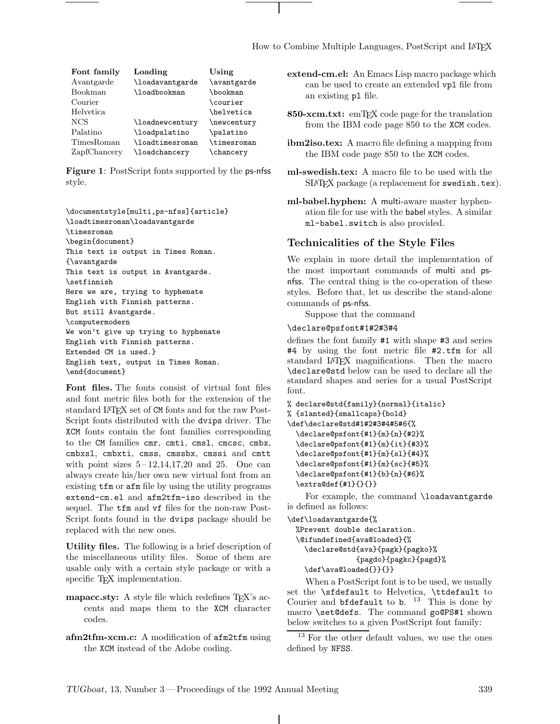How to Combine Multiple Languages, PostScript and LATEX

| Font family  | Loading         | Using                    |
|--------------|-----------------|--------------------------|
| Avantgarde   | \loadavantgarde | \avantgarde              |
| Bookman      | \loadbookman    | \bookman                 |
| Courier      |                 | \courier                 |
| Helvetica    |                 | <i><b>\helvetica</b></i> |
| <b>NCS</b>   | \loadnewcentury | \newcentury              |
| Palatino     | \loadpalatino   | \palatino                |
| TimesRoman   | \loadtimesroman | \timesroman              |
| ZapfChancery | \loadchancery   | \chancery                |

**Figure 1**: PostScript fonts supported by the ps-nfss style.

```
\documentstyle[multi,ps-nfss]{article}
\loadtimesroman\loadavantgarde
\timesroman
\begin{document}
This text is output in Times Roman.
{\avantgarde
This text is output in Avantgarde.
\setfinnish
Here we are, trying to hyphenate
English with Finnish patterns.
But still Avantgarde.
\computermodern
We won't give up trying to hyphenate
English with Finnish patterns.
Extended CM is used.}
English text, output in Times Roman.
\end{document}
```
**Font files.** The fonts consist of virtual font files and font metric files both for the extension of the standard LATEX set of CM fonts and for the raw Post-Script fonts distributed with the dvips driver. The XCM fonts contain the font families corresponding to the CM families cmr, cmti, cmsl, cmcsc, cmbx, cmbxsl, cmbxti, cmss, cmssbx, cmssi and cmtt with point sizes  $5-12,14,17,20$  and 25. One can always create his/her own new virtual font from an existing tfm or afm file by using the utility programs extend-cm.el and afm2tfm-iso described in the sequel. The tfm and vf files for the non-raw Post-Script fonts found in the dvips package should be replaced with the new ones.

**Utility files.** The following is a brief description of the miscellaneous utility files. Some of them are usable only with a certain style package or with a specific T<sub>EX</sub> implementation.

- **mapacc.sty:** A style file which redefines T<sub>EX</sub>'s accents and maps them to the XCM character codes.
- **afm2tfm-xcm.c:** A modification of afm2tfm using the XCM instead of the Adobe coding.

**extend-cm.el:** An Emacs Lisp macro package which can be used to create an extended vpl file from an existing pl file.

- 850-xcm.txt: emT<sub>F</sub>X code page for the translation from the IBM code page 850 to the XCM codes.
- **ibm2iso.tex:** A macro file defining a mapping from the IBM code page 850 to the XCM codes.
- **ml-swedish.tex:** A macro file to be used with the SLATEX package (a replacement for swedish.tex).
- **ml-babel.hyphen:** A multi-aware master hyphenation file for use with the babel styles. A similar ml-babel.switch is also provided.

### **Technicalities of the Style Files**

We explain in more detail the implementation of the most important commands of multi and psnfss. The central thing is the co-operation of these styles. Before that, let us describe the stand-alone commands of ps-nfss.

Suppose that the command

#### \declare@psfont#1#2#3#4

defines the font family #1 with shape #3 and series #4 by using the font metric file #2.tfm for all standard LAT<sub>F</sub>X magnifications. Then the macro \declare@std below can be used to declare all the standard shapes and series for a usual PostScript font.

```
% declare@std{family}{normal}{italic}
% {slanted}{smallcaps}{bold}
\def\declare@std#1#2#3#4#5#6{%
  \declare@psfont{#1}{m}{n}{#2}%
  \declare@psfont{#1}{m}{it}{#3}%
  \declare@psfont{#1}{m}{sl}{#4}%
  \declare@psfont{#1}{m}{sc}{#5}%
  \declare@psfont{#1}{b}{n}{#6}%
  \extra@def{#1}{}{}}
```
For example, the command \loadavantgarde is defined as follows:

```
\def\loadavantgarde{%
 %Prevent double declaration.
  \@ifundefined{ava@loaded}{%
    \declare@std{ava}{pagk}{pagko}%
                {pagdo}{pagkc}{pagd}%
   \def\ava@loaded{}}{}}
```
When a PostScript font is to be used, we usually set the \sfdefault to Helvetica, \ttdefault to Courier and bfdefault to b.  $13$  This is done by macro \set@defs. The command go@PS#1 shown below switches to a given PostScript font family:

<sup>&</sup>lt;sup>13</sup> For the other default values, we use the ones defined by NFSS.